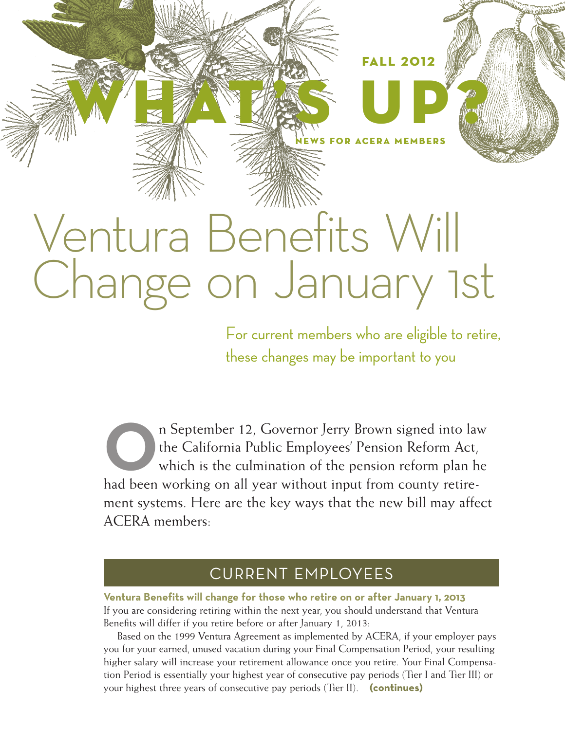# Ventura Benefits Will Change on January 1st

WHAT'S UP?

For current members who are eligible to retire, these changes may be important to you

FALL 2012

NEWS FOR ACERA MEMBERS

In September 12, Governor Jerry Brown signed into law<br>the California Public Employees' Pension Reform Act,<br>which is the culmination of the pension reform plan he<br>had been working on all year without input from county retir the California Public Employees' Pension Reform Act, which is the culmination of the pension reform plan he had been working on all year without input from county retirement systems. Here are the key ways that the new bill may affect ACERA members:

### CURRENT EMPLOYEES

**Ventura Benefits will change for those who retire on or after January 1, 2013** If you are considering retiring within the next year, you should understand that Ventura Benefits will differ if you retire before or after January 1, 2013:

Based on the 1999 Ventura Agreement as implemented by ACERA, if your employer pays you for your earned, unused vacation during your Final Compensation Period, your resulting higher salary will increase your retirement allowance once you retire. Your Final Compensation Period is essentially your highest year of consecutive pay periods (Tier I and Tier III) or your highest three years of consecutive pay periods (Tier II). **(continues)**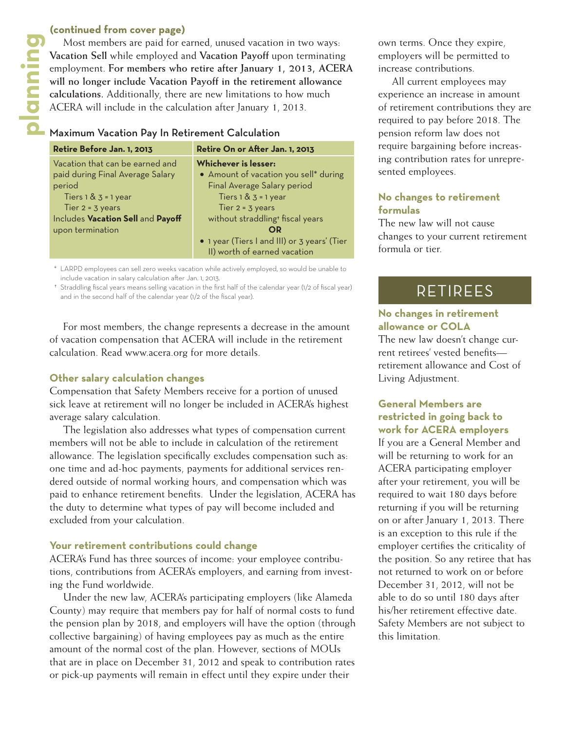Most members are paid for earned, unused vacation in two ways: **Vacation Sell** while employed and **Vacation Payoff** upon terminating employment. **For members who retire after January 1, 2013, ACERA will no longer include Vacation Payoff in the retirement allowance calculations.** Additionally, there are new limitations to how much ACERA will include in the calculation after January 1, 2013. **planning (continued from cover page)**<br>
Most members are paid for e<br> **Planning**<br> **planning members whose will no longer include Vacatior<br>
calculations. Additionally, there<br>
ACERA will include in the calculation<br>
<b>Planning** 

### Maximum Vacation Pay In Retirement Calculation

| Retire Before Jan. 1, 2013        | Retire On or After Jan. 1, 2013              |
|-----------------------------------|----------------------------------------------|
| Vacation that can be earned and   | <b>Whichever is lesser:</b>                  |
| paid during Final Average Salary  | • Amount of vacation you sell* during        |
| period                            | Final Average Salary period                  |
| Tiers $1 & 3 = 1$ year            | Tiers $1 & 3 = 1$ year                       |
| Tier $2 = 3$ years                | Tier $2 = 3$ years                           |
| Includes Vacation Sell and Payoff | without straddling <sup>+</sup> fiscal years |
| upon termination                  | OR                                           |
|                                   | • 1 year (Tiers I and III) or 3 years' (Tier |
|                                   | II) worth of earned vacation                 |

\* LARPD employees can sell zero weeks vacation while actively employed, so would be unable to include vacation in salary calculation after Jan. 1, 2013.

† Straddling fiscal years means selling vacation in the first half of the calendar year (1/2 of fiscal year) and in the second half of the calendar year (1/2 of the fiscal year).

For most members, the change represents a decrease in the amount of vacation compensation that ACERA will include in the retirement calculation. Read www.acera.org for more details.

### **Other salary calculation changes**

Compensation that Safety Members receive for a portion of unused sick leave at retirement will no longer be included in ACERA's highest average salary calculation.

The legislation also addresses what types of compensation current members will not be able to include in calculation of the retirement allowance. The legislation specifically excludes compensation such as: one time and ad-hoc payments, payments for additional services rendered outside of normal working hours, and compensation which was paid to enhance retirement benefits. Under the legislation, ACERA has the duty to determine what types of pay will become included and excluded from your calculation.

### **Your retirement contributions could change**

ACERA's Fund has three sources of income: your employee contributions, contributions from ACERA's employers, and earning from investing the Fund worldwide.

Under the new law, ACERA's participating employers (like Alameda County) may require that members pay for half of normal costs to fund the pension plan by 2018, and employers will have the option (through collective bargaining) of having employees pay as much as the entire amount of the normal cost of the plan. However, sections of MOUs that are in place on December 31, 2012 and speak to contribution rates or pick-up payments will remain in effect until they expire under their

own terms. Once they expire, employers will be permitted to increase contributions.

All current employees may experience an increase in amount of retirement contributions they are required to pay before 2018. The pension reform law does not require bargaining before increasing contribution rates for unrepresented employees.

### **No changes to retirement formulas**

The new law will not cause changes to your current retirement formula or tier.

### RETIREES

### **No changes in retirement allowance or COLA**

The new law doesn't change current retirees' vested benefits retirement allowance and Cost of Living Adjustment.

### **General Members are restricted in going back to work for ACERA employers**

If you are a General Member and will be returning to work for an ACERA participating employer after your retirement, you will be required to wait 180 days before returning if you will be returning on or after January 1, 2013. There is an exception to this rule if the employer certifies the criticality of the position. So any retiree that has not returned to work on or before December 31, 2012, will not be able to do so until 180 days after his/her retirement effective date. Safety Members are not subject to this limitation.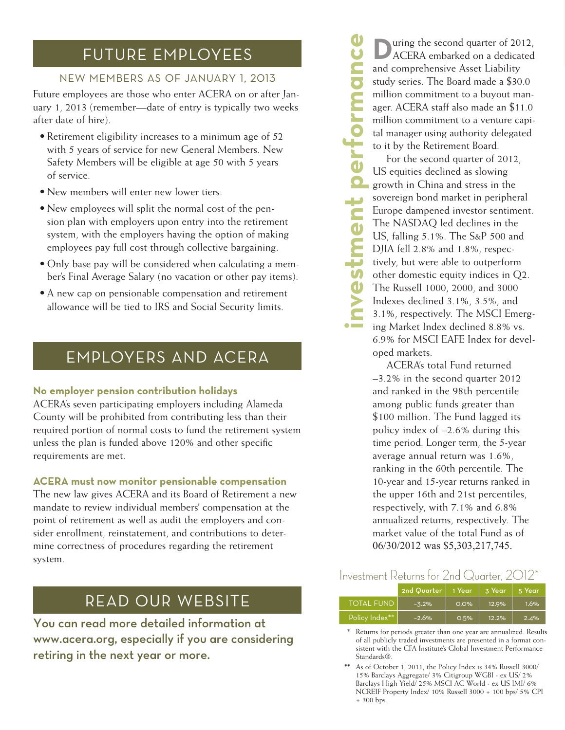### FUTURE EMPLOYEES

### NEW MEMBERS AS OF JANUARY 1, 2013

Future employees are those who enter ACERA on or after Jan uary 1, 2013 (remember—date of entry is typically two weeks after date of hire).

- Retirement eligibility increases to a minimum age of 52 with 5 years of service for new General Members. New Safety Members will be eligible at age 50 with 5 years of service.
- New members will enter new lower tiers.
- New employees will split the normal cost of the pension plan with employers upon entry into the retirement system, with the employers having the option of making employees pay full cost through collective bargaining.
- Only base pay will be considered when calculating a member's Final Average Salary (no vacation or other pay items).
- A new cap on pensionable compensation and retirement allowance will be tied to IRS and Social Security limits.

# EMPLOYERS AND ACERA

### **No employer pension contribution holidays**

ACERA's seven participating employers including Alameda County will be prohibited from contributing less than their required portion of normal costs to fund the retirement system unless the plan is funded above 120% and other specific requirements are met.

### **ACERA must now monitor pensionable compensation**

The new law gives ACERA and its Board of Retirement a new mandate to review individual members' compensation at the point of retirement as well as audit the employers and con sider enrollment, reinstatement, and contributions to deter mine correctness of procedures regarding the retirement system.

## READ OUR WEBSITE

You can read more detailed information at www.acera.org, especially if you are considering retiring in the next year or more.

ACERA embarked on a dedicated and comprehensive Asset Liability study series. The Board made a \$30.0 million commitment to a buyout man ager. ACERA staff also made an \$11.0 million commitment to a venture capi tal manager using authority delegated to it by the Retirement Board.

**investment performance 11 ACERA** embarked on a deciated and embarked on a deciated on a deciated state and million commitment to a buyout manimum of the Bard million commitment to a venture capital manager using authority delegated to the pet For the second quarter of 2012, US equities declined as slowing growth in China and stress in the sovereign bond market in peripheral Europe dampened investor sentiment. The NASDAQ led declines in the US, falling 5.1%. The S&P 500 and DJIA fell 2.8% and 1.8%, respec tively, but were able to outperform other domestic equity indices in Q2. The Russell 1000, 2000, and 3000 Indexes declined 3.1%, 3.5%, and 3.1%, respectively. The MSCI Emerg ing Market Index declined 8.8% vs. 6.9% for MSCI EAFE Index for devel oped markets.

ACERA's total Fund returned –3.2% in the second quarter 2012 and ranked in the 98th percentile among public funds greater than \$100 million. The Fund lagged its policy index of –2.6% during this time period. Longer term, the 5-year average annual return was 1.6%, ranking in the 60th percentile. The 10-year and 15-year returns ranked in the upper 16th and 21st percentiles, respectively, with 7.1% and 6.8% annualized returns, respectively. The market value of the total Fund as of 06/30/2012 was \$5,303,217,745.

### Investment Returns for 2nd Quarter, 2012\*

|                   | 2nd Quarter   1 Year , |         | 3 Year | l 5 Year |
|-------------------|------------------------|---------|--------|----------|
| <b>TOTAL FUND</b> | $-3.2%$                | $0.0\%$ | 12.9%  | 1.6%     |
| Policy Index**    | $-2.6%$                | O.5%    | 12.2%  | 2.4%     |

Returns for periods greater than one year are annualized. Results of all publicly traded investments are presented in a format con sistent with the CFA Institute's Global Investment Performance Standards®.

<sup>\*\*</sup> As of October 1, 2011, the Policy Index is 34% Russell 3000/ 15% Barclays Aggregate/ 3% Citigroup WGBI - ex US/ 2% Barclays High Yield/ 25% MSCI AC World - ex US IMI/ 6% NCREIF Property Index/ 10% Russell 3000 + 100 bps/ 5% CPI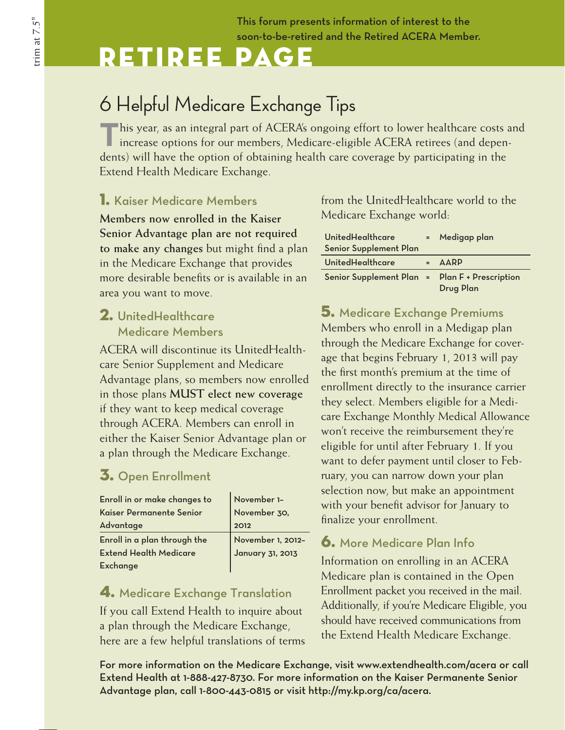This forum presents information of interest to the soon-to-be-retired and the Retired ACERA Member.

# Retiree Page

# 6 Helpful Medicare Exchange Tips

**This year, as an integral part of ACERA's ongoing effort to lower healthcare costs and** increase options for our members, Medicare-eligible ACERA retirees (and dependents) will have the option of obtaining health care coverage by participating in the Extend Health Medicare Exchange.

### 1. Kaiser Medicare Members

**Members now enrolled in the Kaiser Senior Advantage plan are not required to make any changes** but might find a plan in the Medicare Exchange that provides more desirable benefits or is available in an area you want to move.

### 2. UnitedHealthcare Medicare Members

ACERA will discontinue its UnitedHealthcare Senior Supplement and Medicare Advantage plans, so members now enrolled in those plans **MUST elect new coverage** if they want to keep medical coverage through ACERA. Members can enroll in either the Kaiser Senior Advantage plan or a plan through the Medicare Exchange.

### 3. Open Enrollment

| Enroll in or make changes to  | November 1-                           |
|-------------------------------|---------------------------------------|
| Kaiser Permanente Senior      | November 30,                          |
| Advantage                     | 2012                                  |
| Enroll in a plan through the  |                                       |
| <b>Extend Health Medicare</b> | November 1, 2012-<br>January 31, 2013 |
| <b>Exchange</b>               |                                       |

### 4. Medicare Exchange Translation

If you call Extend Health to inquire about a plan through the Medicare Exchange, here are a few helpful translations of terms from the UnitedHealthcare world to the Medicare Exchange world:

| UnitedHealthcare<br><b>Senior Supplement Plan</b> | = Medigap plan |
|---------------------------------------------------|----------------|
| UnitedHealthcare                                  | <b>AARP</b>    |
| Senior Supplement Plan = Plan F + Prescription    | Drug Plan      |

5. Medicare Exchange Premiums Members who enroll in a Medigap plan through the Medicare Exchange for coverage that begins February 1, 2013 will pay the first month's premium at the time of enrollment directly to the insurance carrier they select. Members eligible for a Medicare Exchange Monthly Medical Allowance won't receive the reimbursement they're eligible for until after February 1. If you want to defer payment until closer to February, you can narrow down your plan selection now, but make an appointment with your benefit advisor for January to finalize your enrollment.

### 6. More Medicare Plan Info

Information on enrolling in an ACERA Medicare plan is contained in the Open Enrollment packet you received in the mail. Additionally, if you're Medicare Eligible, you should have received communications from the Extend Health Medicare Exchange.

For more information on the Medicare Exchange, visit www.extendhealth.com/acera or call Extend Health at 1-888-427-8730. For more information on the Kaiser Permanente Senior Advantage plan, call 1-800-443-0815 or visit http://my.kp.org/ca/acera.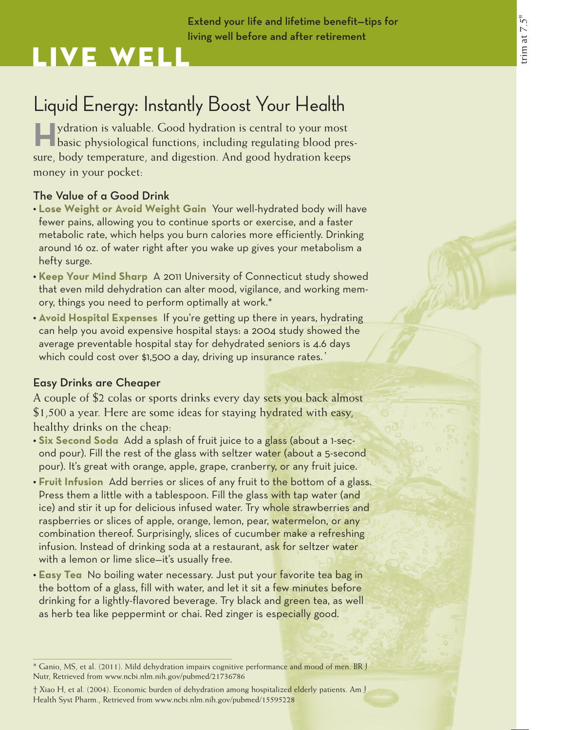### Extend your life and lifetime benefit—tips for living well before and after retirement

# Live Well

# Liquid Energy: Instantly Boost Your Health

**Haydration is valuable.** Good hydration is central to your most **The basic physiological functions, including regulating blood pres**sure, body temperature, and digestion. And good hydration keeps money in your pocket:

### The Value of a Good Drink

- **• Lose Weight or Avoid Weight Gain** Your well-hydrated body will have fewer pains, allowing you to continue sports or exercise, and a faster metabolic rate, which helps you burn calories more efficiently. Drinking around 16 oz. of water right after you wake up gives your metabolism a hefty surge.
- **• Keep Your Mind Sharp** A 2011 University of Connecticut study showed that even mild dehydration can alter mood, vigilance, and working memory, things you need to perform optimally at work.\*
- **•** Avoid Hospital Expenses If you're getting up there in years, hydrating can help you avoid expensive hospital stays: a 2004 study showed the average preventable hospital stay for dehydrated seniors is 4.6 days which could cost over \$1,500 a day, driving up insurance rates.<sup>†</sup>

### Easy Drinks are Cheaper

A couple of \$2 colas or sports drinks every day sets you back almost \$1,500 a year. Here are some ideas for staying hydrated with easy, healthy drinks on the cheap:

- Six Second Soda Add a splash of fruit juice to a glass (about a 1-second pour). Fill the rest of the glass with seltzer water (about a 5-second pour). It's great with orange, apple, grape, cranberry, or any fruit juice.
- **Fruit Infusion** Add berries or slices of any fruit to the bottom of a glass. Press them a little with a tablespoon. Fill the glass with tap water (and ice) and stir it up for delicious infused water. Try whole strawberries and raspberries or slices of apple, orange, lemon, pear, watermelon, or any combination thereof. Surprisingly, slices of cucumber make a refreshing infusion. Instead of drinking soda at a restaurant, ask for seltzer water with a lemon or lime slice—it's usually free.
- **Easy Tea** No boiling water necessary. Just put your favorite tea bag in the bottom of a glass, fill with water, and let it sit a few minutes before drinking for a lightly-flavored beverage. Try black and green tea, as well as herb tea like peppermint or chai. Red zinger is especially good.

<sup>\*</sup> Ganio, MS, et al. (2011). Mild dehydration impairs cognitive performance and mood of men. BR J Nutr, Retrieved from www.ncbi.nlm.nih.gov/pubmed/21736786

<sup>†</sup> Xiao H, et al. (2004). Economic burden of dehydration among hospitalized elderly patients. Am J Health Syst Pharm., Retrieved from www.ncbi.nlm.nih.gov/pubmed/15595228